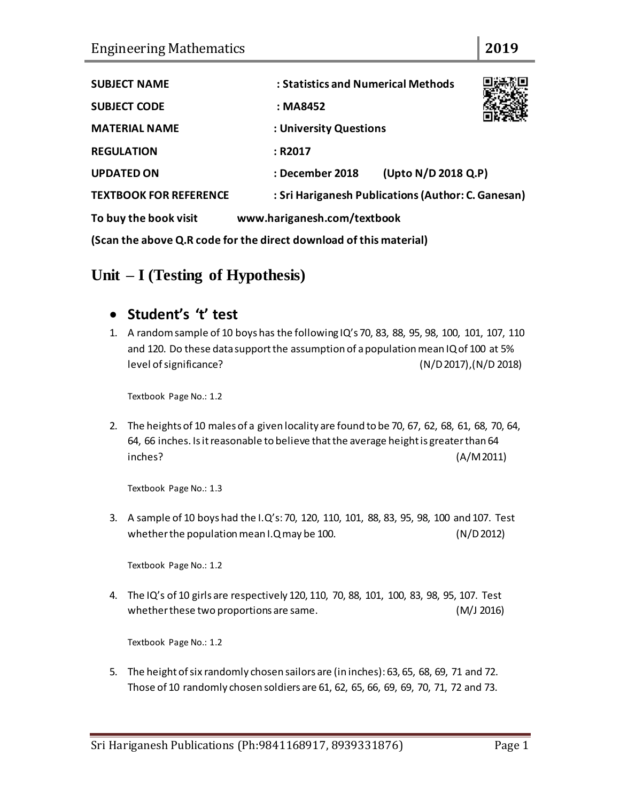| <b>SUBJECT NAME</b>                                                | : Statistics and Numerical Methods                 |                     |  |  |  |
|--------------------------------------------------------------------|----------------------------------------------------|---------------------|--|--|--|
| <b>SUBJECT CODE</b>                                                | : MA8452                                           |                     |  |  |  |
| <b>MATERIAL NAME</b>                                               | : University Questions                             |                     |  |  |  |
| <b>REGULATION</b>                                                  | : R2017                                            |                     |  |  |  |
| <b>UPDATED ON</b>                                                  | : December 2018                                    | (Upto N/D 2018 Q.P) |  |  |  |
| <b>TEXTBOOK FOR REFERENCE</b>                                      | : Sri Hariganesh Publications (Author: C. Ganesan) |                     |  |  |  |
| To buy the book visit                                              | www.hariganesh.com/textbook                        |                     |  |  |  |
| (Scan the above Q.R code for the direct download of this material) |                                                    |                     |  |  |  |

## **Unit – I (Testing of Hypothesis)**

#### **Student's 't' test**

1. A random sample of 10 boys has the following IQ's 70, 83, 88, 95, 98, 100, 101, 107, 110 and 120. Do these data support the assumption of a population mean IQ of 100 at 5% level of significance? (N/D 2017),(N/D 2018)

Textbook Page No.: 1.2

2. The heights of 10 males of a given locality are found to be 70, 67, 62, 68, 61, 68, 70, 64, 64, 66 inches. Is it reasonable to believe that the average height is greater than 64 inches? (A/M 2011)

Textbook Page No.: 1.3

3. A sample of 10 boys had the I.Q's: 70, 120, 110, 101, 88, 83, 95, 98, 100 and 107. Test whether the population mean I.Q may be 100. (N/D 2012)

Textbook Page No.: 1.2

4. The IQ's of 10 girls are respectively 120, 110, 70, 88, 101, 100, 83, 98, 95, 107. Test whether these two proportions are same. (M/J 2016)

Textbook Page No.: 1.2

5. The height of six randomly chosen sailors are (in inches): 63, 65, 68, 69, 71 and 72. Those of 10 randomly chosen soldiers are 61, 62, 65, 66, 69, 69, 70, 71, 72 and 73.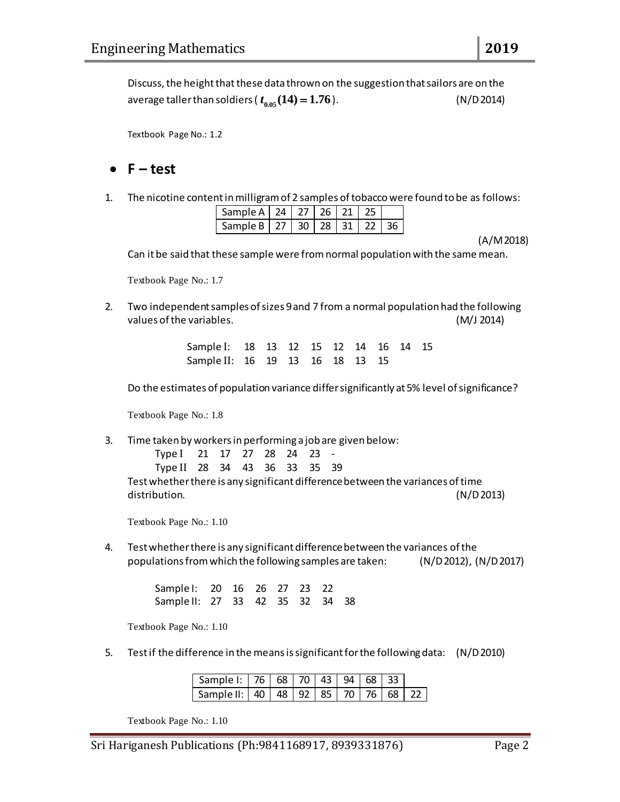Discuss, the height that these data thrown on the suggestion that sailors are on the average taller than soldiers (  $t_{0.05}$   $(14)$   $=$   $1.76$ ). (N/D 2014)

Textbook Page No.: 1.2

#### $\bullet$  **F**  $-$  **test**

1. The nicotine content in milligram of 2 samples of tobacco were found to be as follows:

| Sample A   24   27   26   21   25      |  |  |  |
|----------------------------------------|--|--|--|
| Sample B   27   30   28   31   22   36 |  |  |  |

(A/M 2018)

Can it be said that these sample were from normal population with the same mean.

Textbook Page No.: 1.7

2. Two independent samples of sizes 9 and 7 from a normal population had the following values of the variables. (M/J 2014)

> Sample I: 18 13 12 15 12 14 16 14 15 Sample II: 16 19 13 16 18 13 15

Do the estimates of population variance differ significantly at 5% level of significance?

Textbook Page No.: 1.8

3. Time taken by workers in performing a job are given below:

Type I 21 17 27 28 24 23 -

Type II 28 34 43 36 33 35 39

Test whether there is any significant difference between the variances of time distribution. (N/D 2013)

Textbook Page No.: 1.10

4. Test whether there is any significant difference between the variances of the populations from which the following samples are taken: (N/D 2012), (N/D 2017)

> Sample I: 20 16 26 27 23 22 Sample II: 27 33 42 35 32 34 38

Textbook Page No.: 1.10

5. Test if the difference in the means is significant for the following data: (N/D 2010)

| Sample I:   76   68   70   43   94   68   33       |  |  |  |  |
|----------------------------------------------------|--|--|--|--|
| Sample II:   40   48   92   85   70   76   68   22 |  |  |  |  |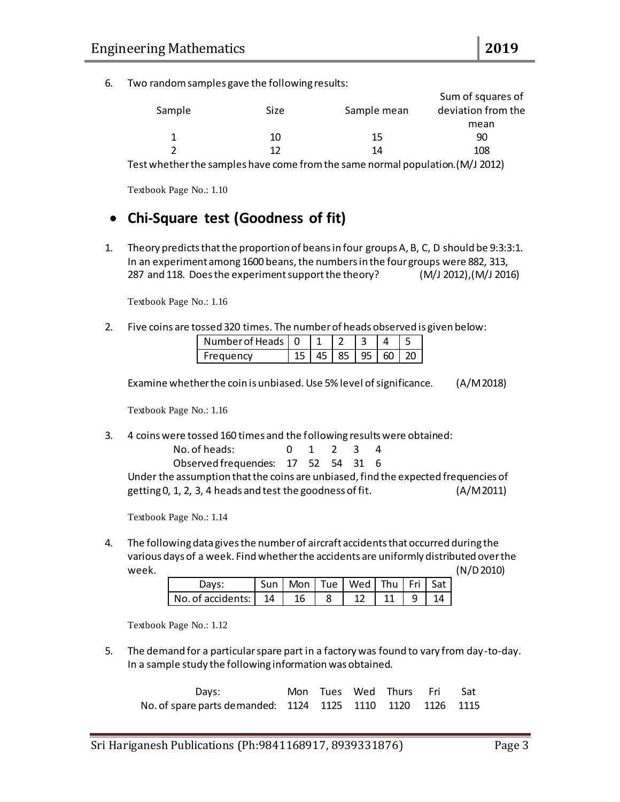6. Two random samples gave the following results:

|        |      |             | Sum of squares of                                                                    |
|--------|------|-------------|--------------------------------------------------------------------------------------|
| Sample | Size | Sample mean | deviation from the                                                                   |
|        |      |             | mean                                                                                 |
|        | 10   | 15          | 90                                                                                   |
|        | 12   | 14          | 108                                                                                  |
| .      |      |             | $\lambda$ $\lambda$ $\lambda$ $\lambda$ $\lambda$ $\lambda$ $\lambda$ $\lambda$<br>. |

Test whether the samples have come from the same normal population.(M/J 2012)

Textbook Page No.: 1.10

### **Chi-Square test (Goodness of fit)**

1. Theory predicts that the proportion of beans in four groups A, B, C, D should be 9:3:3:1. In an experiment among 1600 beans, the numbers in the four groups were 882, 313, 287 and 118. Does the experiment support the theory? (M/J 2012),(M/J 2016)

Textbook Page No.: 1.16

2. Five coins are tossed 320 times. The number of heads observed is given below:

| Number of Heads   0 |  |       |     |  |
|---------------------|--|-------|-----|--|
| Frequency           |  | 85 95 | 60. |  |

Examine whether the coin is unbiased. Use 5% level of significance. (A/M 2018)

Textbook Page No.: 1.16

3. 4 coins were tossed 160 times and the following results were obtained:

| No. of heads:                       | 0 1 2 3 4 |  |  |
|-------------------------------------|-----------|--|--|
| Observed frequencies: 17 52 54 31 6 |           |  |  |

Under the assumption that the coins are unbiased, find the expected frequencies of getting 0, 1, 2, 3, 4 heads and test the goodness of fit. (A/M2011)

Textbook Page No.: 1.14

4. The following data gives the number of aircraft accidents that occurred during the various days of a week. Find whether the accidents are uniformly distributed over the week. (N/D 2010)

| Days:                                           |  | Sun   Mon   Tue   Wed   Thu   Fri   Sat |                        |  |
|-------------------------------------------------|--|-----------------------------------------|------------------------|--|
| $\vert$ No. of accidents: $\vert$ 14 $\vert$ 16 |  |                                         | $12$   11   9   14 $'$ |  |

Textbook Page No.: 1.12

5. The demand for a particular spare part in a factory was found to vary from day-to-day. In a sample study the following information was obtained.

Days: Mon Tues Wed Thurs Fri Sat No. of spare parts demanded: 1124 1125 1110 1120 1126 1115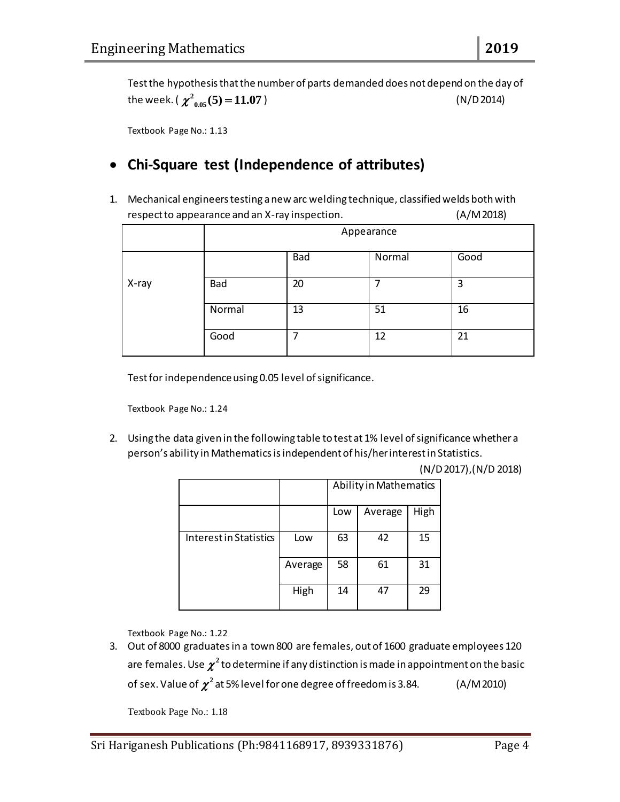Test the hypothesis that the number of parts demanded does not depend on the day of the week. ( $\chi^2_{0.05}(5)$  =  $11.07$ ) (N/D 2014)

Textbook Page No.: 1.13

### **Chi-Square test (Independence of attributes)**

1. Mechanical engineers testing a new arc welding technique, classified welds both with respect to appearance and an X-ray inspection. (A/M 2018)

|       | Appearance |     |        |      |
|-------|------------|-----|--------|------|
|       |            | Bad | Normal | Good |
| X-ray | Bad        | 20  | 7      | 3    |
|       | Normal     | 13  | 51     | 16   |
|       | Good       | ┓   | 12     | 21   |

Test for independence using 0.05 level of significance.

Textbook Page No.: 1.24

2. Using the data given in the following table to test at 1% level of significance whether a person's ability in Mathematics is independent of his/her interest in Statistics.

(N/D 2017),(N/D 2018)

|                        |         | Ability in Mathematics |         |      |  |
|------------------------|---------|------------------------|---------|------|--|
|                        |         | Low                    | Average | High |  |
| Interest in Statistics | Low     | 63                     | 42      | 15   |  |
|                        | Average | 58                     | 61      | 31   |  |
|                        | High    | 14                     | 47      | 29   |  |

Textbook Page No.: 1.22

3. Out of 8000 graduates in a town 800 are females, out of 1600 graduate employees 120 are females. Use  $\chi^2$  to determine if any distinction is made in appointment on the basic of sex. Value of  $\chi^2$  at 5% level for one degree of freedom is 3.84.  $\qquad \qquad$  (A/M 2010)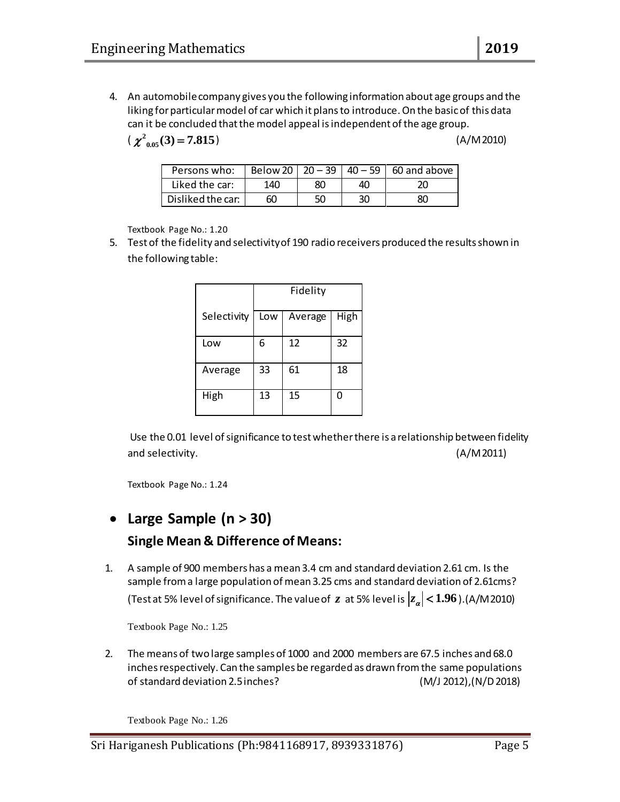4. An automobile company gives you the following information about age groups and the liking for particular model of car which it plans to introduce. On the basic of this data can it be concluded that the model appeal is independent of the age group.

 $\chi^2_{0.05}(3) = 7.815$ 

) (A/M 2010)

| Persons who:      |     |    |    | Below 20   20 - 39   40 - 59   60 and above |
|-------------------|-----|----|----|---------------------------------------------|
| Liked the car:    | 140 | 80 | 40 | 20                                          |
| Disliked the car: | 60  | 50 | 30 | 80                                          |

Textbook Page No.: 1.20

5. Test of the fidelity and selectivity of 190 radio receivers produced the results shown in the following table:

|             |     | Fidelity |      |
|-------------|-----|----------|------|
| Selectivity | Low | Average  | High |
| Low         | 6   | 12       | 32   |
| Average     | 33  | 61       | 18   |
| High        | 13  | 15       | O    |

Use the 0.01 level of significance to test whether there is a relationship between fidelity and selectivity. (A/M 2011)

Textbook Page No.: 1.24

# **Large Sample (n > 30) Single Mean & Difference of Means:**

1. A sample of 900 members has a mean 3.4 cm and standard deviation 2.61 cm. Is the sample from a large population of mean 3.25 cms and standard deviation of 2.61cms? (Test at 5% level of significance. The value of  $z$  at 5% level is  $|z_\alpha|$  <  $1.96$  ).(A/M 2010)

Textbook Page No.: 1.25

2. The means of two large samples of 1000 and 2000 members are 67.5 inches and 68.0 inches respectively. Can the samples be regarded as drawn from the same populations of standard deviation 2.5 inches? (M/J 2012),(N/D 2018)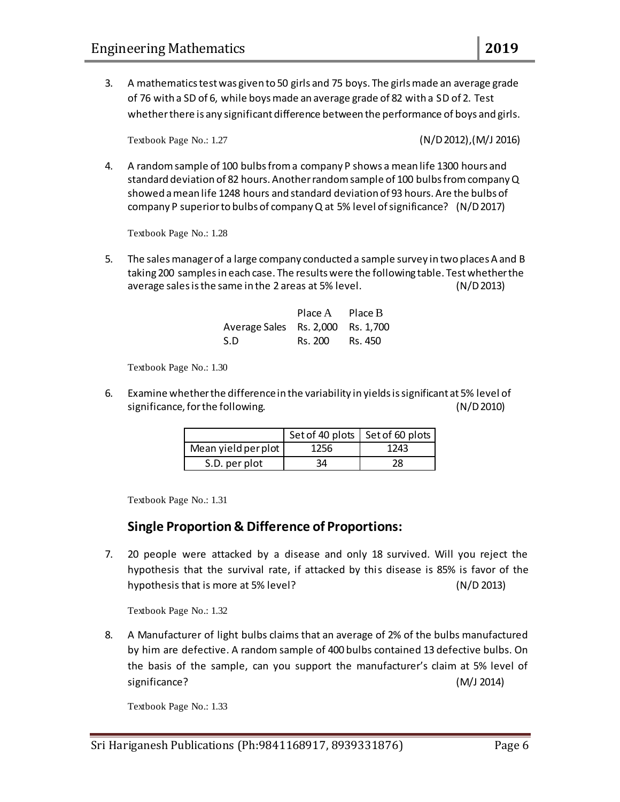3. A mathematics test was given to 50 girls and 75 boys. The girls made an average grade of 76 with a SD of 6, while boys made an average grade of 82 with a SD of 2. Test whether there is any significant difference between the performance of boys and girls.

Textbook Page No.: 1.27 (N/D 2012),(M/J 2016)

4. A random sample of 100 bulbs from a company P shows a mean life 1300 hours and standard deviation of 82 hours. Another random sample of 100 bulbs from company Q showed a mean life 1248 hours and standard deviation of 93 hours. Are the bulbs of company P superior to bulbs of company Q at 5% level of significance? (N/D 2017)

Textbook Page No.: 1.28

5. The salesmanager of a large company conducted a sample survey in two places A and B taking 200 samples in each case. The results were the following table. Test whether the average sales is the same in the 2 areas at 5% level. (N/D 2013)

|                                   | Place A | Place B |
|-----------------------------------|---------|---------|
| Average Sales Rs. 2,000 Rs. 1,700 |         |         |
| -S.D                              | Rs. 200 | Rs. 450 |

Textbook Page No.: 1.30

6. Examine whether the difference in the variability in yields is significant at 5% level of significance, for the following. (N/D 2010)

|                     | Set of 40 plots   Set of 60 plots |      |  |
|---------------------|-----------------------------------|------|--|
| Mean yield per plot | 1256                              | 1243 |  |
| S.D. per plot       | 34                                | 28   |  |

Textbook Page No.: 1.31

#### **Single Proportion & Difference of Proportions:**

7. 20 people were attacked by a disease and only 18 survived. Will you reject the hypothesis that the survival rate, if attacked by this disease is 85% is favor of the hypothesis that is more at 5% level? (N/D 2013)

Textbook Page No.: 1.32

8. A Manufacturer of light bulbs claims that an average of 2% of the bulbs manufactured by him are defective. A random sample of 400 bulbs contained 13 defective bulbs. On the basis of the sample, can you support the manufacturer's claim at 5% level of significance? (M/J 2014)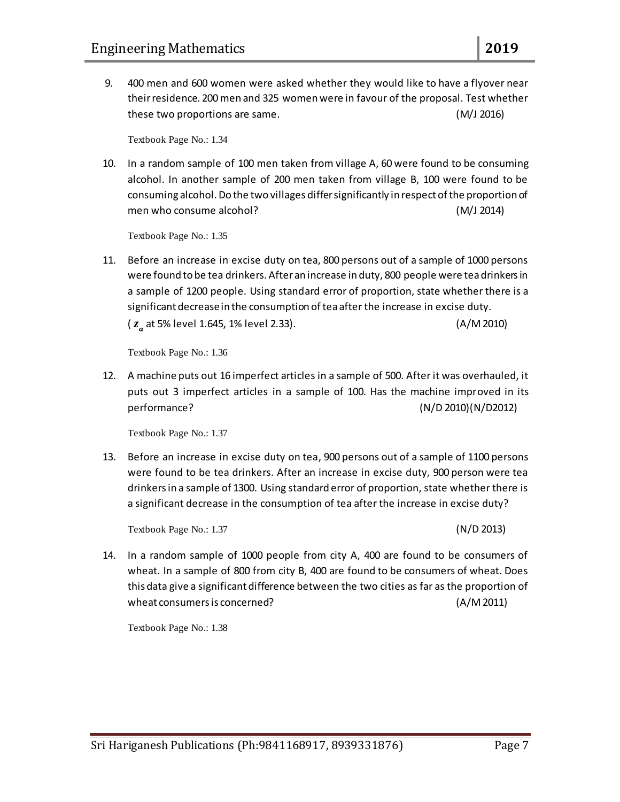9. 400 men and 600 women were asked whether they would like to have a flyover near their residence. 200 men and 325 women were in favour of the proposal. Test whether these two proportions are same. (M/J 2016)

Textbook Page No.: 1.34

10. In a random sample of 100 men taken from village A, 60 were found to be consuming alcohol. In another sample of 200 men taken from village B, 100 were found to be consuming alcohol. Do the two villages differ significantly in respect of the proportion of men who consume alcohol? (M/J 2014)

Textbook Page No.: 1.35

11. Before an increase in excise duty on tea, 800 persons out of a sample of 1000 persons were found to be tea drinkers. After an increase in duty, 800 people were tea drinkers in a sample of 1200 people. Using standard error of proportion, state whether there is a significant decrease in the consumption of tea after the increase in excise duty. ( *z* at 5% level 1.645, 1% level 2.33). (A/M 2010)

Textbook Page No.: 1.36

12. A machine puts out 16 imperfect articles in a sample of 500. After it was overhauled, it puts out 3 imperfect articles in a sample of 100. Has the machine improved in its performance? (N/D 2010)(N/D2012)

Textbook Page No.: 1.37

13. Before an increase in excise duty on tea, 900 persons out of a sample of 1100 persons were found to be tea drinkers. After an increase in excise duty, 900 person were tea drinkers in a sample of 1300. Using standard error of proportion, state whether there is a significant decrease in the consumption of tea after the increase in excise duty?

Textbook Page No.: 1.37 (N/D 2013)

14. In a random sample of 1000 people from city A, 400 are found to be consumers of wheat. In a sample of 800 from city B, 400 are found to be consumers of wheat. Does this data give a significant difference between the two cities as far as the proportion of wheat consumers is concerned? (A/M 2011)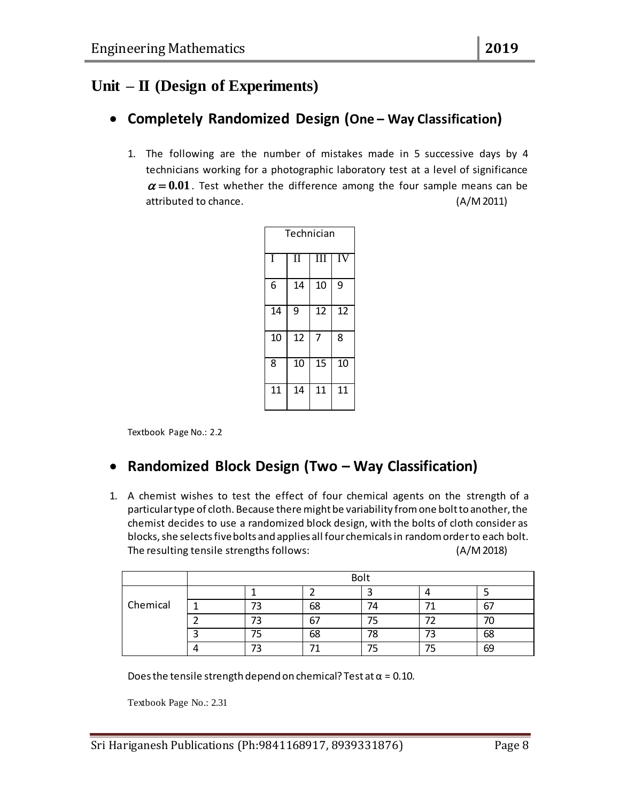## **Unit – II (Design of Experiments)**

### **Completely Randomized Design (One – Way Classification)**

1. The following are the number of mistakes made in 5 successive days by 4 technicians working for a photographic laboratory test at a level of significance  $\alpha$  = 0.01. Test whether the difference among the four sample means can be attributed to chance. (A/M 2011)

| Technician |    |        |    |  |  |
|------------|----|--------|----|--|--|
| Ī          | Н  | Т<br>I | IV |  |  |
| 6          | 14 | 10     | 9  |  |  |
| 14         | 9  | 12     | 12 |  |  |
| 10         | 12 | 7      | 8  |  |  |
| 8          | 10 | 15     | 10 |  |  |
| 11         | 14 | 11     | 11 |  |  |

Textbook Page No.: 2.2

### **Randomized Block Design (Two – Way Classification)**

1. A chemist wishes to test the effect of four chemical agents on the strength of a particular type of cloth. Because there might be variability from one bolt to another, the chemist decides to use a randomized block design, with the bolts of cloth consider as blocks, she selects five bolts and applies all four chemicals in random order to each bolt. The resulting tensile strengths follows: (A/M 2018)

|          | <b>Bolt</b> |    |    |     |    |  |  |
|----------|-------------|----|----|-----|----|--|--|
|          |             |    |    |     |    |  |  |
| Chemical | ⇁           | 68 | 74 |     | 67 |  |  |
|          |             | 67 | 75 |     |    |  |  |
|          | --          | 68 | 78 | د ، | 68 |  |  |
|          |             |    |    | כ'  | 69 |  |  |

Does the tensile strength depend on chemical? Test at  $\alpha$  = 0.10.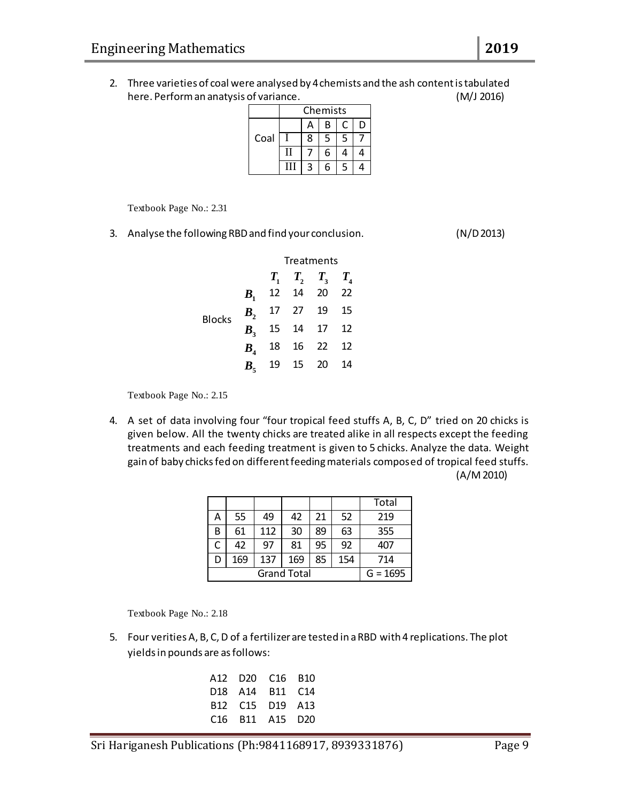2. Three varieties of coal were analysed by 4 chemists and the ash content is tabulated here. Perform an anatysis of variance. (M/J 2016)

|      | Chemists |   |   |   |   |
|------|----------|---|---|---|---|
|      |          | А | B |   | D |
| Coal |          | 8 | 5 | 5 |   |
|      | Н        |   | 6 |   |   |
|      |          |   |   | ς |   |

Textbook Page No.: 2.31

3. Analyse the following RBD and find your conclusion. (N/D 2013)

|               |  | Treatments |                              |  |  |
|---------------|--|------------|------------------------------|--|--|
|               |  |            | $T_1$ $T_2$ $T_3$ $T_4$      |  |  |
|               |  |            | $B_1$ 12 14 20 22            |  |  |
| <b>Blocks</b> |  |            | $B_2$ 17 27 19 15            |  |  |
|               |  |            | $\overline{B_3}$ 15 14 17 12 |  |  |
|               |  |            | $B4$ 18 16 22 12             |  |  |
|               |  |            | $B_5$ 19 15 20 14            |  |  |

Textbook Page No.: 2.15

4. A set of data involving four "four tropical feed stuffs A, B, C, D" tried on 20 chicks is given below. All the twenty chicks are treated alike in all respects except the feeding treatments and each feeding treatment is given to 5 chicks. Analyze the data. Weight gain of baby chicks fed on different feeding materials composed of tropical feed stuffs. (A/M 2010)

|                    |     |     |     |    |     | Total      |
|--------------------|-----|-----|-----|----|-----|------------|
| А                  | 55  | 49  | 42  | 21 | 52  | 219        |
| B                  | 61  | 112 | 30  | 89 | 63  | 355        |
| С                  | 42  | 97  | 81  | 95 | 92  | 407        |
|                    | 169 | 137 | 169 | 85 | 154 | 714        |
| <b>Grand Total</b> |     |     |     |    |     | $G = 1695$ |

Textbook Page No.: 2.18

5. Four verities A, B, C, D of a fertilizer are tested in a RBD with 4 replications. The plot yields in pounds are as follows:

|  | A12 D20 C16 B10<br>D <sub>18</sub> A <sub>14</sub> B <sub>11</sub> C <sub>14</sub><br>B12 C15 D19 A13<br>C <sub>16</sub> B <sub>11</sub> A <sub>15</sub> D <sub>20</sub> |
|--|--------------------------------------------------------------------------------------------------------------------------------------------------------------------------|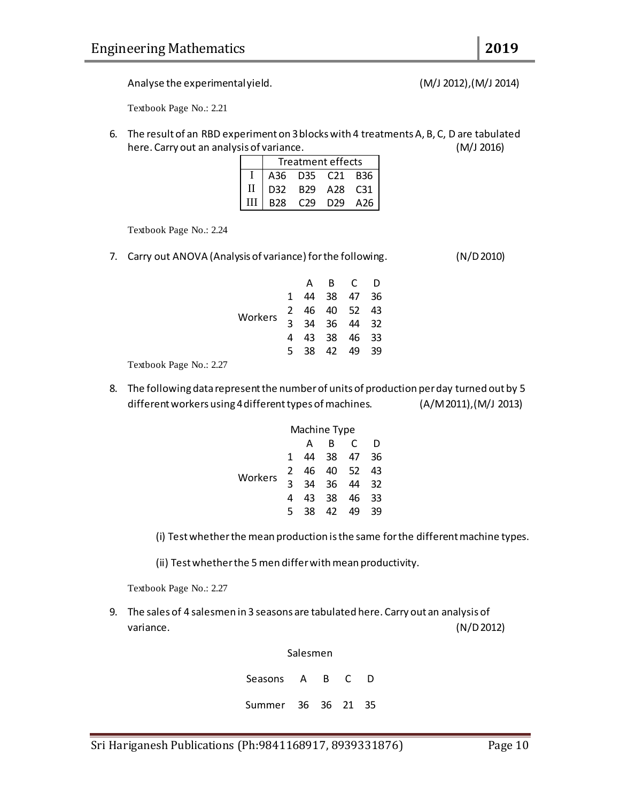Analyse the experimental yield. (M/J 2012),(M/J 2014)

Textbook Page No.: 2.21

6. The result of an RBD experiment on 3 blocks with 4 treatments A, B, C, D are tabulated here. Carry out an analysis of variance. (M/J 2016)

|              | Treatment effects |                 |             |     |  |  |
|--------------|-------------------|-----------------|-------------|-----|--|--|
|              |                   | A36 D35 C21 B36 |             |     |  |  |
| $\mathbf{I}$ | D32               |                 | B29 A28 C31 |     |  |  |
| Ш            | B28               | C <sub>29</sub> | D29         | A26 |  |  |

Textbook Page No.: 2.24

7. Carry out ANOVA (Analysis of variance) for the following. (N/D 2010)

|         |    | А  | B.    | - C      | D    |
|---------|----|----|-------|----------|------|
|         |    | 44 | 38    | 47       | - 36 |
| Workers | 2  |    |       | 46 40 52 | 43   |
|         | २  |    | 34 36 | 44 32    |      |
|         | 4  |    | 43 38 | 46       | - 33 |
|         | 5. | 38 | 42    | 49       | -39  |
|         |    |    |       |          |      |

Textbook Page No.: 2.27

8. The following data represent the number of units of production per day turned out by 5 different workers using 4 different types of machines. (A/M 2011),(M/J 2013)

|         | Machine Type |     |     |    |     |
|---------|--------------|-----|-----|----|-----|
|         |              | А   | R   | C  | D   |
|         | 1            | 44  | -38 | 47 | 36  |
| Workers | 2            | 46. | 40  | 52 | 43  |
|         | ર            | 34  | 36  | 44 | -32 |
|         | 4            | 43  | 38  | 46 | 33  |
|         | 5            | 38  | 42  | 49 | 39  |

(i) Test whether the mean production is the same for the different machine types.

(ii) Test whether the 5 men differ with mean productivity.

Textbook Page No.: 2.27

9. The sales of 4 salesmen in 3 seasons are tabulated here. Carry out an analysis of variance. (N/D 2012)

Salesmen

Seasons A B C D Summer 36 36 21 35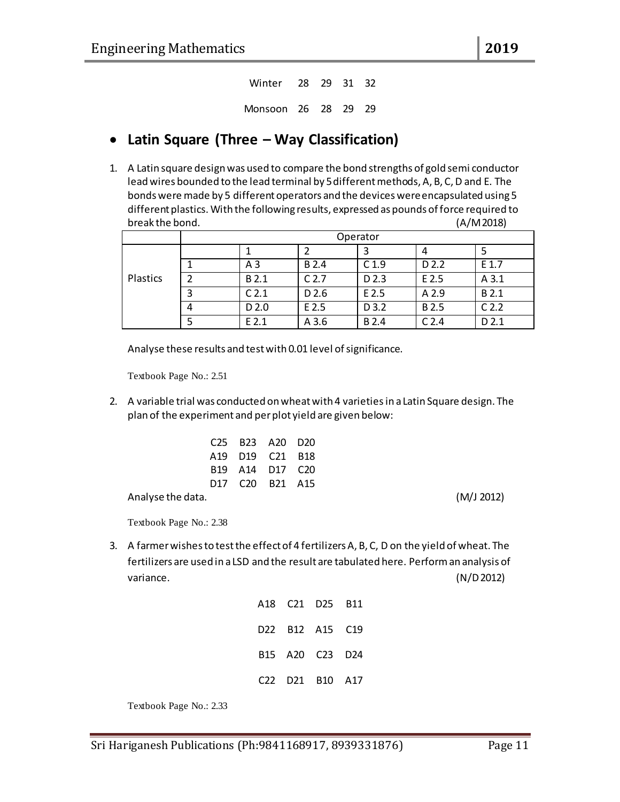Winter 28 29 31 32 Monsoon 26 28 29 29

### **Latin Square (Three – Way Classification)**

1. A Latin square design was used to compare the bond strengths of gold semi conductor lead wires bounded to the lead terminal by 5 different methods, A, B, C, D and E. The bonds were made by 5 different operators and the devices were encapsulated using 5 different plastics. With the following results, expressed as pounds of force required to break the bond. (A/M 2018)

|          |   | Operator         |                  |                  |                  |                  |  |  |
|----------|---|------------------|------------------|------------------|------------------|------------------|--|--|
|          |   |                  |                  |                  | 4                |                  |  |  |
|          |   | A <sub>3</sub>   | B 2.4            | C <sub>1.9</sub> | D 2.2            | E 1.7            |  |  |
| Plastics |   | B 2.1            | C <sub>2.7</sub> | D 2.3            | E 2.5            | A <sub>3.1</sub> |  |  |
|          | 3 | C <sub>2.1</sub> | D 2.6            | E 2.5            | A 2.9            | B 2.1            |  |  |
|          | 4 | D 2.0            | E 2.5            | D 3.2            | B 2.5            | C <sub>2.2</sub> |  |  |
|          |   | $E$ 2.1          | A 3.6            | B 2.4            | C <sub>2.4</sub> | D 2.1            |  |  |

Analyse these results and test with 0.01 level of significance.

Textbook Page No.: 2.51

2. A variable trial was conducted on wheat with 4 varietiesin a Latin Square design. The plan of the experiment and per plot yield are given below:

| C25 B23 A20 D20                                                 |  |  |
|-----------------------------------------------------------------|--|--|
| A19 D19 C21 B18                                                 |  |  |
| B <sub>19</sub> A <sub>14</sub> D <sub>17</sub> C <sub>20</sub> |  |  |
| D <sub>17</sub> C <sub>20</sub> B <sub>21</sub> A <sub>15</sub> |  |  |

Analyse the data. (M/J 2012)

Textbook Page No.: 2.38

3. A farmer wishes to test the effect of 4 fertilizers A, B, C, D on the yield of wheat. The fertilizers are used in a LSD and the result are tabulated here. Perform an analysis of variance. (N/D 2012)

|  | A18 C21 D25 B11 |  |
|--|-----------------|--|
|  | D22 B12 A15 C19 |  |
|  | B15 A20 C23 D24 |  |
|  | C22 D21 B10 A17 |  |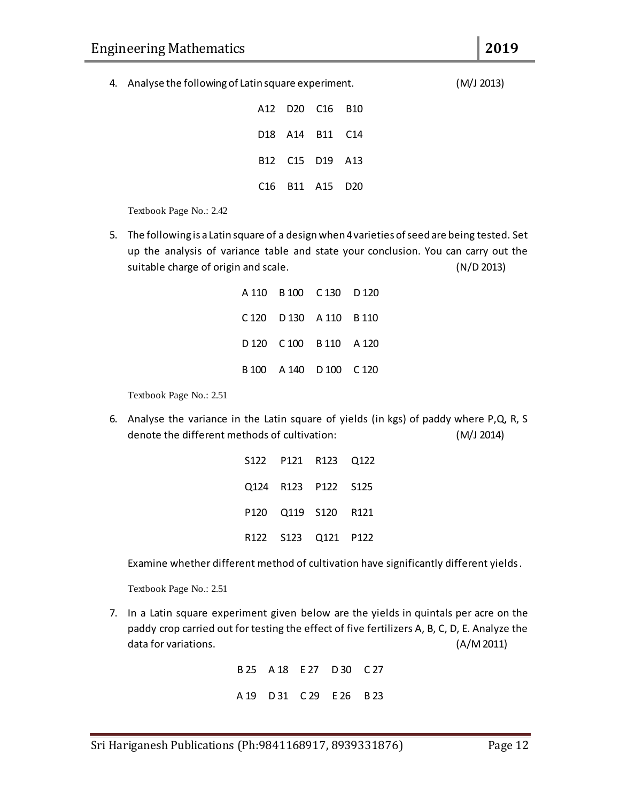4. Analyse the following of Latin square experiment. (M/J 2013)

|  | A12 D20 C16 B10 |  |
|--|-----------------|--|
|  | D18 A14 B11 C14 |  |
|  | B12 C15 D19 A13 |  |
|  | C16 B11 A15 D20 |  |

Textbook Page No.: 2.42

5. The following is a Latin square of a design when 4 varieties of seed are being tested. Set up the analysis of variance table and state your conclusion. You can carry out the suitable charge of origin and scale. (N/D 2013)

|  | A 110 B 100 C 130 D 120 |  |
|--|-------------------------|--|
|  | C 120 D 130 A 110 B 110 |  |
|  | D 120 C 100 B 110 A 120 |  |
|  | B 100 A 140 D 100 C 120 |  |

Textbook Page No.: 2.51

6. Analyse the variance in the Latin square of yields (in kgs) of paddy where P,Q, R, S denote the different methods of cultivation: (M/J 2014)

|  | S122 P121 R123 Q122 |  |
|--|---------------------|--|
|  | Q124 R123 P122 S125 |  |
|  | P120 Q119 S120 R121 |  |
|  | R122 S123 Q121 P122 |  |

Examine whether different method of cultivation have significantly different yields.

Textbook Page No.: 2.51

7. In a Latin square experiment given below are the yields in quintals per acre on the paddy crop carried out for testing the effect of five fertilizers A, B, C, D, E. Analyze the data for variations. (A/M 2011)

> B 25 A 18 E 27 D 30 C 27 A 19 D 31 C 29 E 26 B 23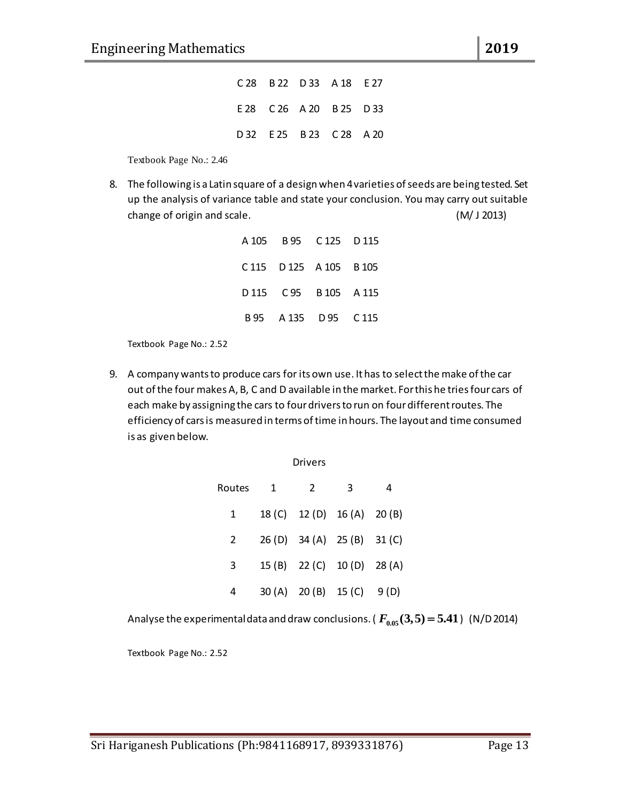|  | C 28 B 22 D 33 A 18 E 27 |  |
|--|--------------------------|--|
|  | E 28 C 26 A 20 B 25 D 33 |  |
|  | D 32 E 25 B 23 C 28 A 20 |  |

Textbook Page No.: 2.46

8. The following is a Latin square of a design when 4 varieties of seeds are being tested. Set up the analysis of variance table and state your conclusion. You may carry out suitable change of origin and scale. (M/ J 2013)

|  | A 105 B 95 C 125 D 115  |  |
|--|-------------------------|--|
|  | C 115 D 125 A 105 B 105 |  |
|  | D 115 C 95 B 105 A 115  |  |
|  | B 95 A 135 D 95 C 115   |  |

Textbook Page No.: 2.52

9. A company wants to produce cars for its own use. It has to select the make of the car out of the four makes A, B, C and D available in the market. For this he tries four cars of each make by assigning the cars to four drivers to run on four different routes. The efficiency of cars is measured in terms of time in hours. The layout and time consumed is as given below.

| Drivers |   |                             |   |      |  |  |  |  |
|---------|---|-----------------------------|---|------|--|--|--|--|
| Routes  | 1 | 2                           | 3 | 4    |  |  |  |  |
| 1       |   | 18 (C) 12 (D) 16 (A) 20 (B) |   |      |  |  |  |  |
| 2       |   | 26 (D) 34 (A) 25 (B) 31 (C) |   |      |  |  |  |  |
| 3       |   | 15 (B) 22 (C) 10 (D) 28 (A) |   |      |  |  |  |  |
| 4       |   | 30 (A) 20 (B) 15 (C)        |   | 9(D) |  |  |  |  |

Analyse the experimental data and draw conclusions. (  $F_{0.05}(\textbf{3},\textbf{5})$   $=$   $\textbf{5.41}$  )  $\,$  (N/D 2014)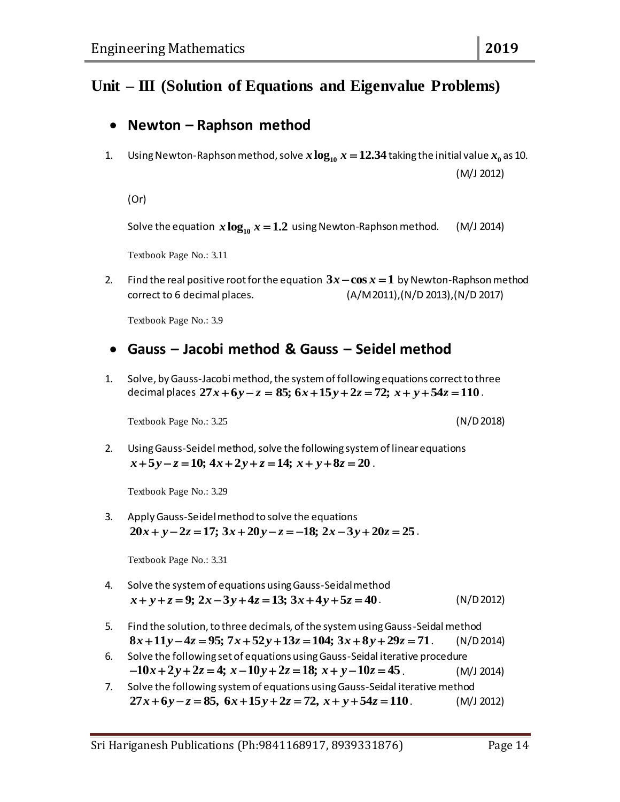## **Unit – III (Solution of Equations and Eigenvalue Problems)**

#### **Newton – Raphson method**

1. Using Newton-Raphson method, solve  $x \log_{10} x = 12.34$  taking the initial value  $x_{_0}$  as 10. (M/J 2012)

(Or)

Solve the equation  $x \log_{10} x = 1.2$  using Newton-Raphson method. (M/J 2014)

Textbook Page No.: 3.11

2. Find the real positive root for the equation  $3x - \cos x = 1$  by Newton-Raphson method correct to 6 decimal places. (A/M 2011),(N/D 2013),(N/D 2017)

Textbook Page No.: 3.9

#### **Gauss – Jacobi method & Gauss – Seidel method**

1. Solve, by Gauss-Jacobi method, the system of following equations correct to three decimal places  $27x+6y-z = 85$ ;  $6x+15y+2z = 72$ ;  $x+y+54z = 110$ . -Jacobi method, the system of following equations correct to three<br> $27x+6y-z = 85$ ;  $6x+15y+2z = 72$ ;  $x + y + 54z = 110$ .

Textbook Page No.: 3.25 (N/D 2018)

2. Using Gauss-Seidel method, solve the following system of linear equations  $x+5y-z=10$ ;  $4x+2y+z=14$ ;  $x+y+8z=20$ .

Textbook Page No.: 3.29

3. Apply Gauss-Seidel method to solve the equations  $20x + y - 2z = 17$ ;  $3x + 20y - z = -18$ ;  $2x - 3y + 20z = 25$ .

- 4. Solve the system of equations using Gauss-Seidal method  $x + y + z = 9$ ;  $2x - 3y + 4z = 13$ ;  $3x + 4y + 5z = 40$ . (N/D 2012)
- 5. Find the solution, to three decimals, of the system using Gauss-Seidal method  $x + y + z = 3$ ,  $2x - 3y + 4z = 13$ ,  $3x + 4y + 3z = 40$ . (N/D 2012)<br>Find the solution, to three decimals, of the system using Gauss-Seidal method<br> $8x + 11y - 4z = 95$ ;  $7x + 52y + 13z = 104$ ;  $3x + 8y + 29z = 71$ . (N/D 2014)
- 6. Solve the following set of equations using Gauss-Seidal iterative procedure  $8x + 11y - 4z = 95$ ;  $7x + 52y + 13z = 104$ ;  $3x + 8y + 29z = 71$ . (N/D 2014)<br>
Solve the following set of equations using Gauss-Seidal iterative procedure<br>  $-10x + 2y + 2z = 4$ ;  $x - 10y + 2z = 18$ ;  $x + y - 10z = 45$ . (M/J 2014)
- 7. Solve the following system of equations using Gauss-Seidal iterative method  $-10x + 2y + 2z = 4$ ;  $x - 10y + 2z = 18$ ;  $x + y - 10z = 45$ . (M/J 2014)<br>Solve the following system of equations using Gauss-Seidal iterative method<br> $27x + 6y - z = 85$ ,  $6x + 15y + 2z = 72$ ,  $x + y + 54z = 110$ . (M/J 2012)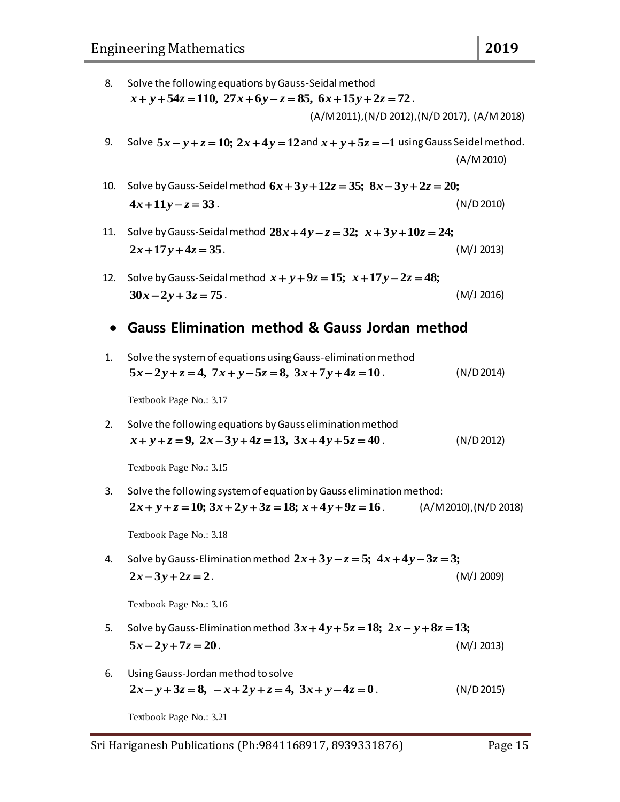- 8. Solve the following equations by Gauss-Seidal method  $x + y + 54z = 110$ ,  $27x + 6y - z = 85$ ,  $6x + 15y + 2z = 72$ . (A/M 2011),(N/D 2012),(N/D 2017), (A/M 2018)
- 9. Solve  $5x y + z = 10$ ;  $2x + 4y = 12$  and  $x + y + 5z = -1$  using Gauss Seidel method. (A/M 2010)
- 10. Solve by Gauss-Seidel method  $6x + 3y + 12z = 35$ ;  $8x 3y + 2z = 20$ ;  $4x + 11y - z = 33$ . (N/D 2010)
- 11. Solve by Gauss-Seidal method  $28x + 4y z = 32$ ;  $x + 3y + 10z = 24$ ;  $2x + 17y + 4z = 35$ . (M/J 2013)
- 12. Solve by Gauss-Seidal method  $x + y + 9z = 15$ ;  $x + 17y 2z = 48$ ;  $30x - 2y + 3z = 75$ . (M/J 2016)

#### **Gauss Elimination method & Gauss Jordan method**

1. Solve the system of equations using Gauss-elimination method  $5x-2y+z=4$ ,  $7x+y-5z=8$ ,  $3x+7y+4z=10$ . (N/D 2014)

Textbook Page No.: 3.17

2. Solve the following equations by Gauss elimination method  $x + y + z = 9$ ,  $2x - 3y + 4z = 13$ ,  $3x + 4y + 5z = 40$ . (N/D 2012)

Textbook Page No.: 3.15

3. Solve the following system of equation by Gauss elimination method:  $2x + y + z = 10$ ;  $3x + 2y + 3z = 18$ ;  $x + 4y + 9z = 16$ . (A/M 2010),(N/D 2018)

Textbook Page No.: 3.18

4. Solve by Gauss-Elimination method  $2x + 3y - z = 5$ ;  $4x + 4y - 3z = 3$ ;  $2x - 3y + 2z = 2$ . (M/J 2009)

Textbook Page No.: 3.16

- 5. Solve by Gauss-Elimination method  $3x + 4y + 5z = 18$ ;  $2x y + 8z = 13$ ;  $5x - 2y + 7z = 20$ . (M/J 2013)
- 6. Using Gauss-Jordan method to solve  $2x - y + 3z = 8$ ,  $-x + 2y + z = 4$ ,  $3x + y - 4z = 0$ . (N/D 2015)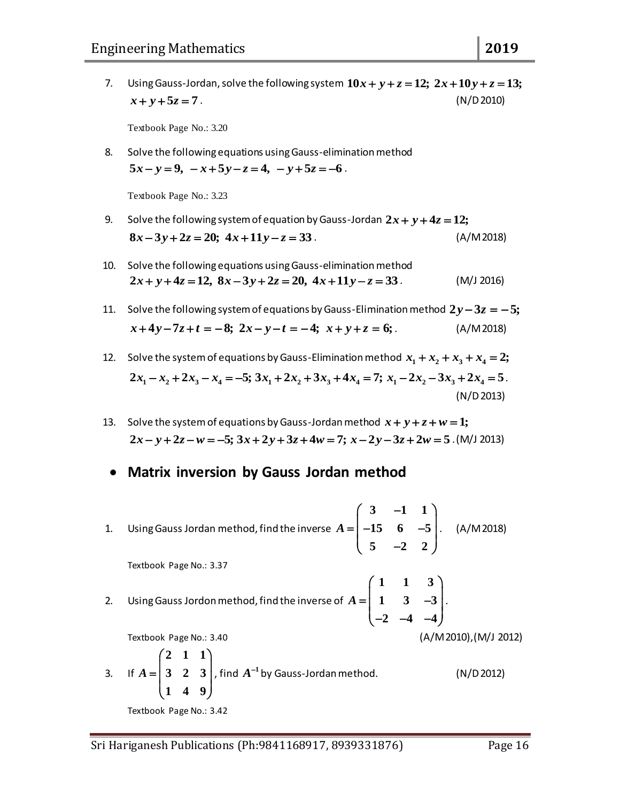7. Using Gauss-Jordan, solve the following system  $10x + y + z = 12$ ;  $2x + 10y + z = 13$ ;  $x + y + 5z = 7$ . (N/D 2010)

Textbook Page No.: 3.20

8. Solve the following equations using Gauss-elimination method  $5x - y = 9$ ,  $-x + 5y - z = 4$ ,  $-y + 5z = -6$ .

- 9. Solve the following system of equation by Gauss-Jordan  $2x + y + 4z = 12$ ;  $8x - 3y + 2z = 20$ ;  $4x + 11y - z = 33$ . (A/M 2018)
- 10. Solve the following equations using Gauss-elimination method  $2x + y + 4z = 12$ ,  $8x - 3y + 2z = 20$ ,  $4x + 11y - z = 33$ . (M/J 2016)
- 11. Solve the following system of equations by Gauss-Elimination method  $2y-3z = -5$ ;  $x + 4y - 7z + t = -8$ ;  $2x - y - t = -4$ ;  $x + y + z = 6$ ; (A/M 2018)
- 12. Solve the system of equations by Gauss-Elimination method  $x_1 + x_2 + x_3 + x_4 = 2$ ;  $2x_1 - x_2 + 2x_3 - x_4 = -5$ ;  $3x_1 + 2x_2 + 3x_3 + 4x_4 = 7$ ;  $x_1 - 2x_2 - 3x_3 + 2x_4 = 5$ . (N/D2013)
- 13. Solve the system of equations by Gauss-Jordan method  $x + y + z + w = 1$ ;  $2x - y + 2z - w = -5$ ;  $3x + 2y + 3z + 4w = 7$ ;  $x - 2y - 3z + 2w = 5$ .(M/J 2013)
- **Matrix inversion by Gauss Jordan method**
- 1. Using Gauss Jordan method, find the inverse  $3 -1 1$ 15  $6 -5$  $5 -2 2$ *A*  $\begin{pmatrix} 3 & -1 & 1 \end{pmatrix}$  $=\begin{pmatrix} 3 & -1 & 1 \\ -15 & 6 & -5 \\ 5 & -2 & 2 \end{pmatrix}$ . (A/M 2018) Textbook Page No.: 3.37 2. Using Gauss Jordon method, find the inverse of **1 1 3** 1  $3 - 3$ 2  $-4$   $-4$  $A = \begin{bmatrix} 1 & 1 & 3 \\ 1 & 3 & -3 \end{bmatrix}$  $=\begin{pmatrix} 1 & 3 & -3 \\ -2 & -4 & -4 \end{pmatrix}$ . Textbook Page No.: 3.40 (A/M 2010),(M/J 2012) 3. If **2 1 1 323 1 4 9**  $A = \begin{pmatrix} 2 & 1 & 1 \\ 3 & 2 & 3 \\ 1 & 4 & 9 \end{pmatrix}$ , find  $A^{-1}$  by Gauss-Jordan method. (N/D 2012) Textbook Page No.: 3.42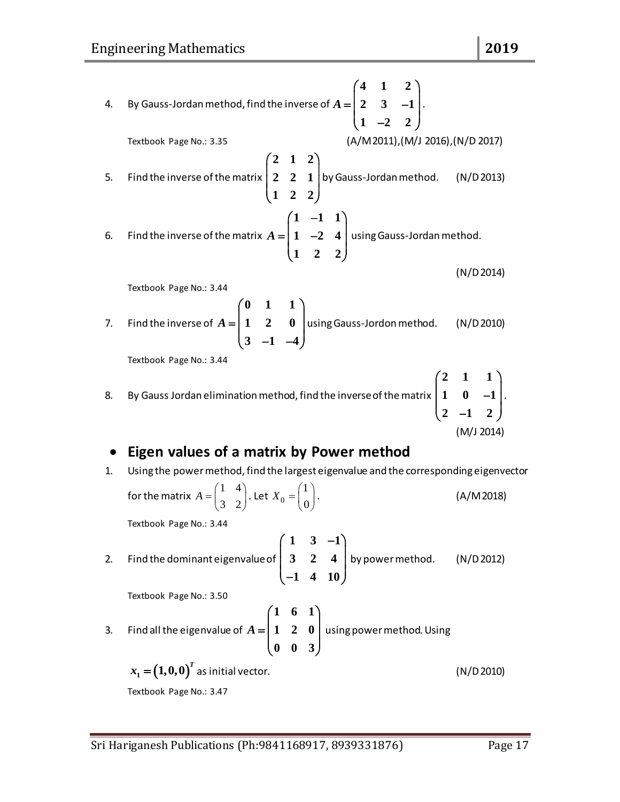4. By Gauss-Jordan method, find the inverse of **4 1 2** 2 3  $-1$  $1 -2 2$  $A = \begin{pmatrix} 4 & 1 & 2 \\ 2 & 3 & -1 \end{pmatrix}$ .  $=\begin{pmatrix} 2 & 3 & -1 \\ 1 & -2 & 2 \end{pmatrix}$ . Textbook Page No.: 3.35 (A/M 2011),(M/J 2016),(N/D 2017) 5. Find the inverse of the matrix **2 1 2 2 2 1 1 2 2**  $\begin{pmatrix} 2 & 1 & 2 \\ 2 & 2 & 1 \end{pmatrix}$  $\begin{pmatrix} 2 & 2 & 1 \\ 1 & 2 & 2 \end{pmatrix}$  by Gauss-Jordan method. (N/D 2013) 6. Find the inverse of the matrix  $1 -1 1$  $1 -2 4$ **1 2 2** *A*  $(1 -1 1)$  $=\begin{pmatrix} 1 & -2 & 4 \ 1 & 2 & 2 \end{pmatrix}$  using Gauss-Jordan method. (N/D 2014) Textbook Page No.: 3.44 7. Find the inverse of **0 1 1 1 2 0**  $3 -1 -4$  $A = \begin{pmatrix} 0 & 1 & 1 \\ 1 & 2 & 0 \\ 3 & -1 & -4 \end{pmatrix}$ using Gauss-Jordon method. (N/D 2010) Textbook Page No.: 3.44 8. By Gauss Jordan elimination method, find the inverse of the matrix **2 1 1**  $1 \t 0 \t -1$ **2**  $-1$  **2**  $\begin{pmatrix} 2 & 1 & 1 \\ 1 & 0 & -1 \\ 2 & -1 & 2 \end{pmatrix}$ . (M/J 2014) **Eigen values of a matrix by Power method** 1. Using the power method, find the largest eigenvalue and the corresponding eigenvector for the matrix 1 4 3 2  $A = \begin{pmatrix} 1 & 4 \\ 3 & 2 \end{pmatrix}$ . Let  $X_0$ 1 0  $X_0 = \begin{pmatrix} 1 \\ 0 \end{pmatrix}$ . (A/M 2018)

Textbook Page No.: 3.44

2. Find the dominant eigenvalue of  $1 \quad 3 \quad -1$ **3 2 4 1 4 10**  $\begin{pmatrix} 1 & 3 & -1 \end{pmatrix}$  $\begin{array}{ccc} \n\end{array}$  2 2 4  $\begin{array}{ccc} \n\end{array}$  $\begin{pmatrix} 3 & 2 & 4 \\ -1 & 4 & 10 \end{pmatrix}$  by power method. (N/D 2012)

Textbook Page No.: 3.50

3. Find all the eigenvalue of **1 6 1 1 2 0 0 0 3**  $A = \begin{pmatrix} 1 & 6 & 1 \\ 1 & 2 & 0 \\ 0 & 0 & 3 \end{pmatrix}$  using power method. Using

$$
x_1 = (1,0,0)^T
$$
 as initial vector. (N/D 2010)  
Textbook Page No.: 3.47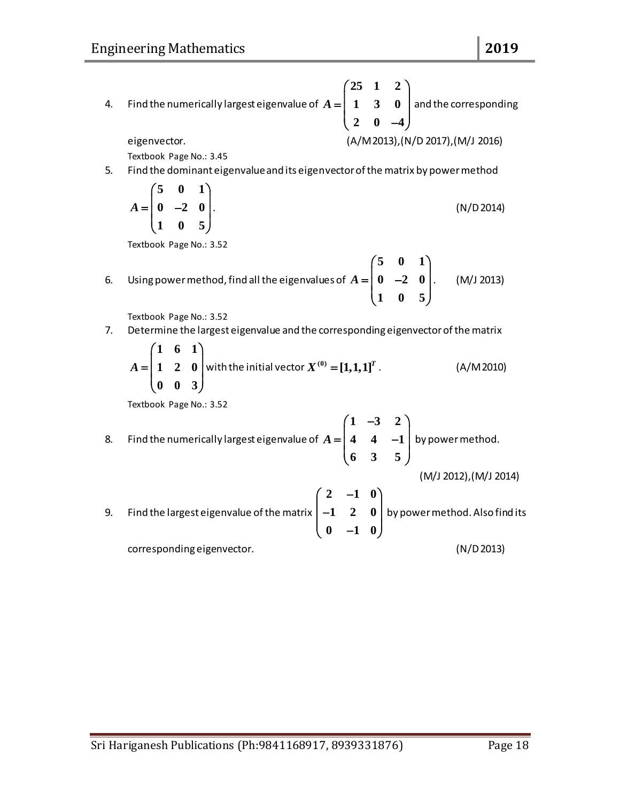4. Find the numerically largest eigenvalue of **25 1 2 1 3 0** 2 0  $-4$  $A = \begin{pmatrix} 25 & 1 & 2 \\ 1 & 3 & 0 \\ 2 & 0 & -4 \end{pmatrix}$  and the corresponding

eigenvector. (A/M 2013),(N/D 2017),(M/J 2016)

Textbook Page No.: 3.45

5. Find the dominant eigenvalue and its eigenvector of the matrix by power method

$$
A = \begin{pmatrix} 5 & 0 & 1 \\ 0 & -2 & 0 \\ 1 & 0 & 5 \end{pmatrix}.
$$
 (N/D 2014)

Textbook Page No.: 3.52

6. Using power method, find all the eigenvalues of **5 0 1**  $0 \t -2 \t 0$ **1 0 5**  $A = \begin{bmatrix} 5 & 0 & 1 \\ 0 & -2 & 0 \end{bmatrix}$ .  $=\begin{pmatrix} 0 & -2 & 0 \\ 1 & 0 & 5 \end{pmatrix}$ . . (M/J 2013)

Textbook Page No.: 3.52

7. Determine the largest eigenvalue and the corresponding eigenvector of the matrix

$$
A = \begin{pmatrix} 1 & 6 & 1 \\ 1 & 2 & 0 \\ 0 & 0 & 3 \end{pmatrix}
$$
 with the initial vector  $X^{(0)} = [1,1,1]^T$ . (A/M2010)

8. Find the numerically largest eigenvalue of 
$$
A = \begin{pmatrix} 1 & -3 & 2 \\ 4 & 4 & -1 \\ 6 & 3 & 5 \end{pmatrix}
$$
 by power method.  
(M/J 2012),(M/J 2014)

9. Find the largest eigenvalue of the matrix 
$$
\begin{pmatrix} 2 & -1 & 0 \ -1 & 2 & 0 \ 0 & -1 & 0 \end{pmatrix}
$$
 by power method. Also find its corresponding eigenvector. (N/D 2013)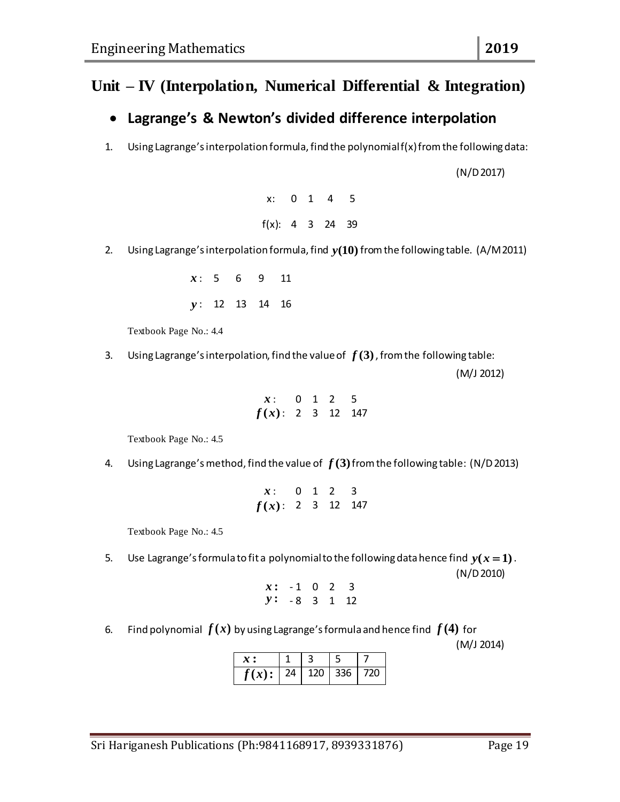### **Unit – IV (Interpolation, Numerical Differential & Integration)**

#### **Lagrange's & Newton's divided difference interpolation**

1. Using Lagrange's interpolation formula, find the polynomial f(x) from the following data:

(N/D 2017)

x: 0 1 4 5 f(x): 4 3 24 39

2. Using Lagrange's interpolation formula, find *y***(10)** from the following table. (A/M 2011)

*x* : 5 6 9 11 *y* : 12 13 14 16

Textbook Page No.: 4.4

3. Using Lagrange's interpolation, find the value of  $f(3)$  , from the following table:

(M/J 2012)

$$
\begin{array}{cccccc}\nx: & 0 & 1 & 2 & 5 \\
f(x): & 2 & 3 & 12 & 147\n\end{array}
$$

Textbook Page No.: 4.5

4. Using Lagrange's method, find the value of  $f(3)$  from the following table: (N/D 2013)

$$
x: 0 1 2 3 \nf(x): 2 3 12 147
$$

Textbook Page No.: 4.5

5. Use Lagrange's formula to fit a polynomial to the following data hence find  $y(x=1)$ . (N/D 2010)

$$
\begin{array}{cccccc}\nx: & -1 & 0 & 2 & 3 \\
y: & -8 & 3 & 1 & 12\n\end{array}
$$

6. Find polynomial  $f(x)$  by using Lagrange's formula and hence find  $f(4)$  for

(M/J 2014)

| $f(x):$   24   120   336   720 |  |  |
|--------------------------------|--|--|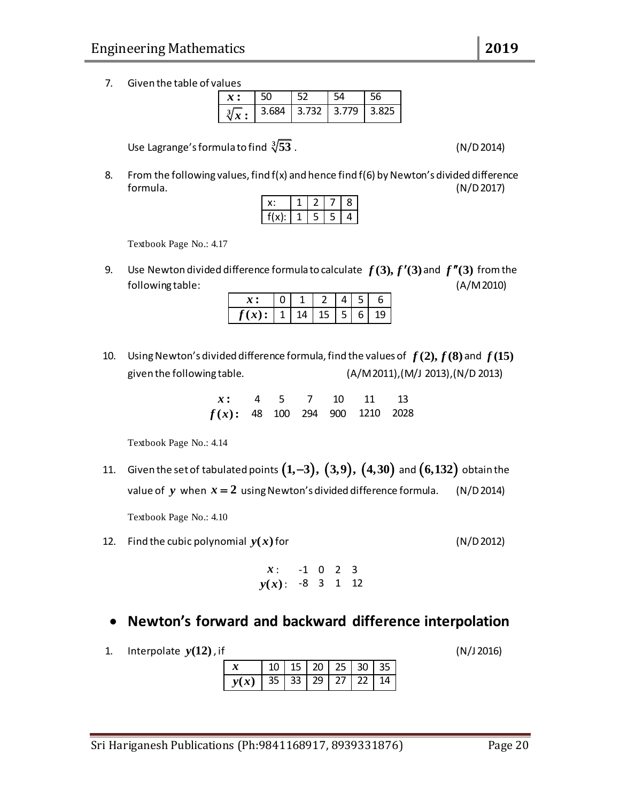7. Given the table of values

|              | 50 |                                 |  |
|--------------|----|---------------------------------|--|
| $\forall x:$ |    | $3.684$   3.732   3.779   3.825 |  |

Use Lagrange's formula to find **3**

8. From the following values, find  $f(x)$  and hence find  $f(6)$  by Newton's divided difference formula. (N/D 2017)

|          | <u>.</u> |   | 8 |
|----------|----------|---|---|
| £1<br>۱. | 5        | 5 | 4 |

Textbook Page No.: 4.17

9. Use Newton divided difference formula to calculate  $f(3), f'(3)$  and  $f''(3)$  from the following table: (A/M 2010)

| $f(x)$ : | 14 | 15 | 5 | 6 | 19 |
|----------|----|----|---|---|----|

10. Using Newton's divided difference formula, find the values of  $f(2), f(8)$  and  $f(15)$ given the following table. (A/M 2011),(M/J 2013),(N/D 2013)

> *x* **:** 4 5 7 10 11 13  $f(x)$ : 48 100 294 900 1210 2028

Textbook Page No.: 4.14

11. Given the set of tabulated points  $(1,-3), (3,9), (4,30)$  and  $(6,132)$  obtain the value of  $y$  when  $x = 2$  using Newton's divided difference formula. (N/D 2014)

Textbook Page No.: 4.10

12. Find the cubic polynomial  $y(x)$ 

$$
x: \t-1 \t 0 \t 2 \t 3\n y(x): \t-8 \t 3 \t 1 \t 12
$$

- **Newton's forward and backward difference interpolation**
- 1. Interpolate *y***(12)**

| $\boldsymbol{x}$         |  | $10 \mid 15 \mid 20 \mid 25 \mid 30 \mid 35 \mid$ |  |
|--------------------------|--|---------------------------------------------------|--|
| $y(x)$ 35 33 29 27 22 14 |  |                                                   |  |

**53** . (N/D 2014)

 $(N/D 2012)$ 

 $(N/J 2016)$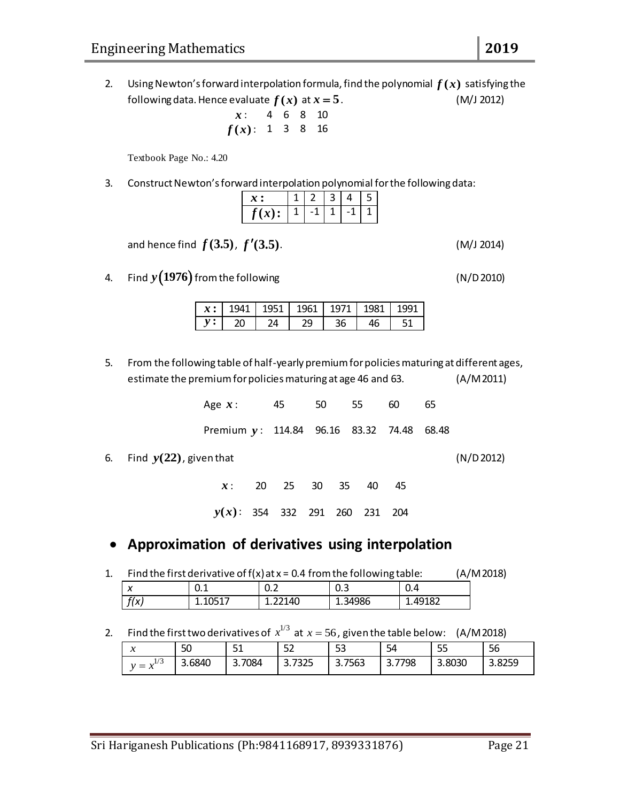2. Using Newton's forward interpolation formula, find the polynomial  $f(x)$  satisfying the following data. Hence evaluate  $f(x)$  at *x* **5**. (M/J 2012)

$$
\begin{array}{cccccc}\nx: & 4 & 6 & 8 & 10 \\
f(x): & 1 & 3 & 8 & 16\n\end{array}
$$

Textbook Page No.: 4.20

3. Construct Newton's forward interpolation polynomial for the following data:

| x                      |  | <u>/I</u> | ר |
|------------------------|--|-----------|---|
| $\mathfrak{r}$ ,<br>17 |  |           |   |

and hence find  $f(3.5)$ ,  $f'(3.5)$ . (M/J 2014)

4. Find  $y(1976)$  from the following  $( N/D 2010)$ 

|  | $x :$   1941   1951   1961   1971   1981   1991 |    |  |
|--|-------------------------------------------------|----|--|
|  | ാവ                                              | 36 |  |

5. From the following table of half-yearly premium for policies maturing at different ages, estimate the premium for policies maturing at age 46 and 63. (A/M 2011)

| Age $x$ : 45                              |  | 50 55 60 | 65 |
|-------------------------------------------|--|----------|----|
| Premium y: 114.84 96.16 83.32 74.48 68.48 |  |          |    |

6. Find *y***(22)** , given that (N/D 2012)

*x* : : 20 25 30 35 40 45 *y x***( )** : 354 332 291 260 231 204

#### **Approximation of derivatives using interpolation**

1. Find the first derivative of  $f(x)$  at  $x = 0.4$  from the following table:  $(A/M 2018)$ 

| $\overline{\mathbf{v}}$<br>$\lambda$ | U.L | -<br>◡.←  | U.S     | U.4                  |
|--------------------------------------|-----|-----------|---------|----------------------|
| f(x)                                 |     | 2140<br>. | 1.34986 | ດາ<br><b>T'42TOT</b> |

2. Find the first two derivatives of  $x^{1/3}$  at  $x=56$  , given the table below: (A/M 2018)

| $\mathbf{A}$<br>↗     | 50     | - 4<br>ᇰᆂ    | 52                | --<br>ر ر             | -<br>54          | --<br>ر ر | 56     |
|-----------------------|--------|--------------|-------------------|-----------------------|------------------|-----------|--------|
| $\sqrt{2}$<br>$=$<br> | 3.6840 | 7084<br>ر. د | 7325<br>-<br>J. 1 | 7563<br>∽<br><u>.</u> | 7798<br><u>.</u> | 3.8030    | 3.8259 |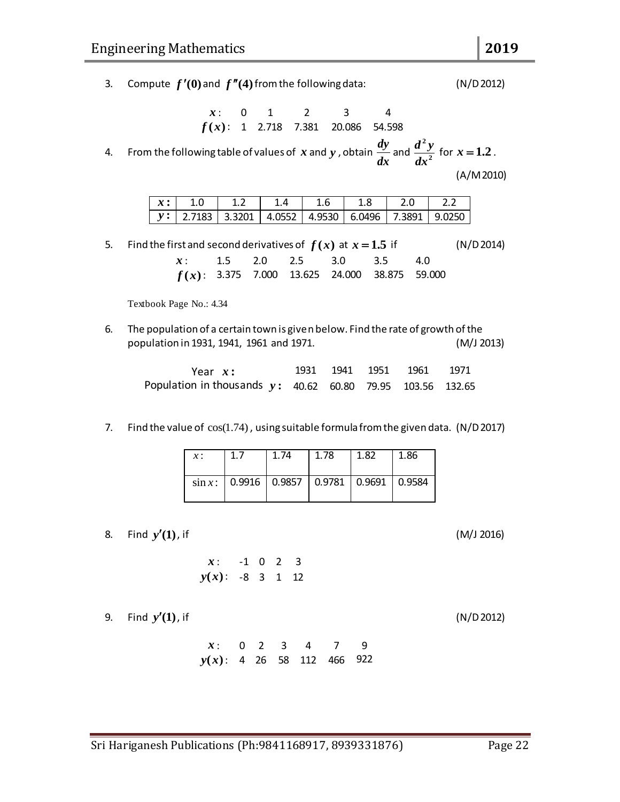*y* **:**

*x* :

*x* :

- Sri Hariganesh Publications (Ph:9841168917, 8939331876) Page 22
	-

| x: 0 2 3 4 7 9               |  |  |  |
|------------------------------|--|--|--|
| $y(x)$ : 4 26 58 112 466 922 |  |  |  |

| , if |                     |  |  |  |
|------|---------------------|--|--|--|
|      | $x: -1 \t0 \t2 \t3$ |  |  |  |

 $y(x)$ : -8 3 1 12

- 
- 8. Find *y***(1)**

9. Find *y***(1)**

- 
- $\sin x$ : 0.9916 0.9857 0.9781 0.9691 0.9584
- *x* : 1.7 | 1.74 | 1.78 | 1.82 | 1.86

| population in 1931, 1941, 1961 and 1971.                                                                                                                                                                                                                                                                                                                  |      |               |                 | (M/J 2013) |  |
|-----------------------------------------------------------------------------------------------------------------------------------------------------------------------------------------------------------------------------------------------------------------------------------------------------------------------------------------------------------|------|---------------|-----------------|------------|--|
| $\lambda$ and $\lambda$ and $\lambda$ and $\lambda$ and $\lambda$ and $\lambda$ and $\lambda$ and $\lambda$ and $\lambda$ and $\lambda$ and $\lambda$ and $\lambda$ and $\lambda$ and $\lambda$ and $\lambda$ and $\lambda$ and $\lambda$ and $\lambda$ and $\lambda$ and $\lambda$ and $\lambda$ and $\lambda$ and $\lambda$ and $\lambda$ and $\lambda$ | 1001 | $1011$ $1051$ | 10 <sub>0</sub> |            |  |

| oulation in 1931, 1941, 1961 and 1971. |      |           |        | (M,  |
|----------------------------------------|------|-----------|--------|------|
| Year $x$ :                             | 1931 | 1941 1951 | - 1961 | 1971 |

| 6. The population of a certain town is given below. Find the rate of growth of the |                     |
|------------------------------------------------------------------------------------|---------------------|
| population in 1931, 1941, 1961 and 1971.                                           | (M/J <sub>2</sub> ) |

5. Find the first and second derivatives of  $f(x)$  at  $x = 1.5$ 

| Population in thousands $y: 40.62 60.80 79.95 103.56 132.65$ |  |  |  |
|--------------------------------------------------------------|--|--|--|
|                                                              |  |  |  |
|                                                              |  |  |  |

7. Find the value of  $cos(1.74)$ , using suitable formula from the given data. (N/D 2017)

4. From the follo *x* and *y* , obtain *dy dx x* **:**

| owing table of values of $\displaystyle{x}$ and $\displaystyle{y}$ , obtain $\displaystyle{\frac{dy}{dx}}$ and $\displaystyle{\frac{d^2y}{dx^2}}$ |  |
|---------------------------------------------------------------------------------------------------------------------------------------------------|--|
|                                                                                                                                                   |  |

: 0 1 2 3 4  $f(x)$ : 1 2.718 7.381 20.086 54.598

|     |     |     |     |     |     | (A/M 2010) |
|-----|-----|-----|-----|-----|-----|------------|
|     |     |     |     |     |     |            |
| 1.0 | 1.2 | 1.6 | 1.8 | 2.0 | 2.2 |            |

2.7183 3.3201 4.0552 4.9530 6.0496 7.3891 9.0250

|                         |  | $f(x)$ : 3.375 7.000 13.625 24.000 38.875 59.000 |  |
|-------------------------|--|--------------------------------------------------|--|
| Textbook Page No.: 4.34 |  |                                                  |  |

: 1.5 2.0 2.5 3.0 3.5 4.0

3. Compute  $f'(0)$  and  $f''(4)$  from the following data:  $(N/D 2012)$ 

for  $x = 1.2$ .

 $(N/D 2014)$ 

 $(M/J 2016)$ 

 $(N/D 2012)$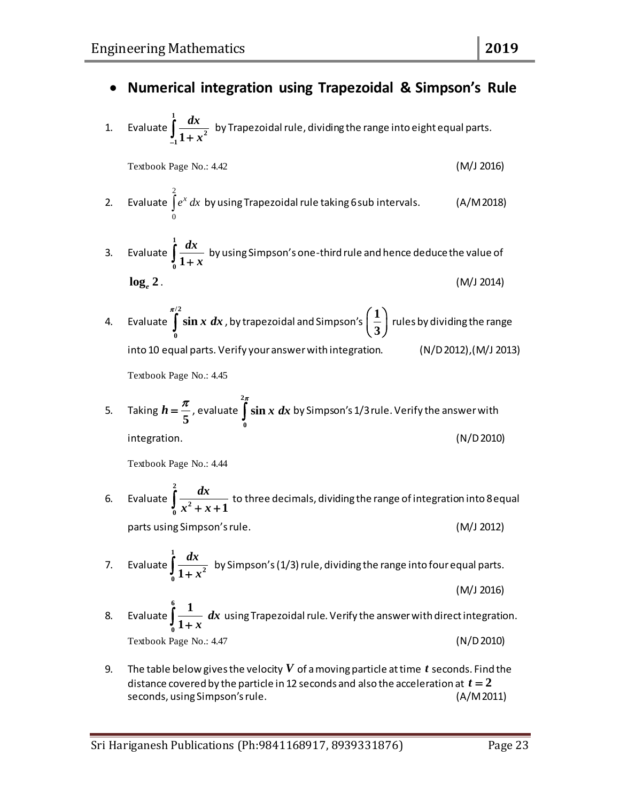## **Numerical integration using Trapezoidal & Simpson's Rule**

1. Evaluate **1 2 1 1** *dx*  $\int_{-1}^{1} \frac{dx}{1+x^2}$  by Trapezoidal rule, dividing the range into eight equal parts.

Textbook Page No.: 4.42 (M/J 2016)

- 2. Evaluate 2 0  $\int e^x dx$  by using Trapezoidal rule taking 6 sub intervals. (A/M 2018)
- 3. Evaluate **1 0 1** *dx*  $\int\limits_0^{+\infty} \frac{dx}{1+x}$  by using Simpson's one-third rule and hence deduce the value of

$$
\log_e 2. \tag{M/J 2014}
$$

4. Evaluate **/2 0**  $\int_0^{\pi/2} \sin x \ dx$  , by trapezoidal and Simpson's  $\Big(\frac{1}{3}\Big)$  $\left(\frac{1}{3}\right)$ rules by dividing the range into 10 equal parts. Verify your answer with integration. (N/D 2012),(M/J 2013) Textbook Page No.: 4.45

5. Taking  $h = \frac{4}{5}$  $h = \frac{\pi}{\epsilon}$ , evaluate **2 0**  $\int\limits_0^{2\pi} \sin x\ dx$  by Simpson's 1/3 rule. Verify the answer with integration. (N/D 2010)

- 6. Evaluate **2 2**  $\int_{0}^{1} x^{2} + x + 1$  $\int_{0}^{2} \frac{dx}{x^2 + x + 1}$  to three decimals, dividing the range of integration into 8 equal parts using Simpson's rule. (M/J 2012)
- 7. Evaluate **1 2 0 1** *dx*  $\int_{0}^{2\pi} \frac{dx}{1+x^2}$  by Simpson's (1/3) rule, dividing the range into four equal parts. (M/J 2016)
- 8. Evaluate **6 0 1 1** *dx*  $\int\limits_0^{\cdot} \frac{1}{1+x} \;dx$  using Trapezoidal rule. Verify the answer with direct integration. Textbook Page No.: 4.47 (N/D 2010)
- 9. The table below gives the velocity  $\boldsymbol{V}$  of a moving particle at time  $\boldsymbol{t}$  seconds. Find the distance covered by the particle in 12 seconds and also the acceleration at  $t=2$ seconds, using Simpson's rule. (A/M 2011)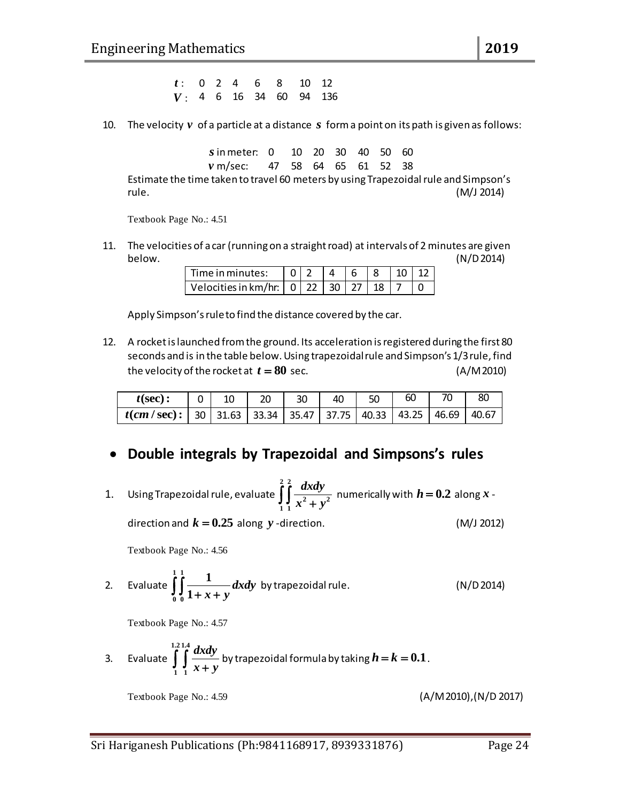: 0 2 4 6 8 10 12 *V* : 4 6 16 34 60 94 136

10. The velocity  $v$  of a particle at a distance  $s$  form a point on its path is given as follows:

*s* in meter: 0 in meter: 0 10 20 30 40 50 60 *v* m/sec: m/sec: 47 58 64 65 61 52 38

Estimate the time taken to travel 60 meters by using Trapezoidal rule and Simpson's rule. (M/J 2014)

Textbook Page No.: 4.51

11. The velocities of a car (running on a straight road) at intervals of 2 minutes are given below. (N/D 2014)

| l Time in minutes:                               |  |  | 4 6 8 10 12 |  |
|--------------------------------------------------|--|--|-------------|--|
| Velocities in km/hr:   0   22   30   27   18   7 |  |  |             |  |

Apply Simpson's rule to find the distance covered by the car.

12. A rocket is launched from the ground. Its acceleration is registered during the first 80 seconds and is in the table below. Using trapezoidal rule and Simpson's 1/3 rule, find the velocity of the rocket at  $t = 80$  $(A/M 2010)$ 

| $t(\sec)$ :                                                                              | $0 \mid 10$ | $\begin{array}{c} \n \begin{array}{c} \n 20 \n \end{array} \n \end{array}$ | $\vert$ 30 | -40 | 50 | 60 | 80 |
|------------------------------------------------------------------------------------------|-------------|----------------------------------------------------------------------------|------------|-----|----|----|----|
| $\mid$ t(cm / sec):   30   31.63   33.34   35.47   37.75   40.33   43.25   46.69   40.67 |             |                                                                            |            |     |    |    |    |

#### **Double integrals by Trapezoidal and Simpsons's rules**

F: 0 2 4 6 8 30 12<br>
IO. The velocity  $y$  of a particle at a distance s forma point on its path is given as follows:<br>
simmeter. 0 10 20 30 40 50 60<br>
Estimate the time taken to travel 60 meters (Pri 28 6 16 22 38<br>
Estimate 1. Using Trapezoidal rule, evaluate **2 2** <sup>2</sup> . .<sup>2</sup> **1 1** *dxdy*  $\iint \frac{dxdy}{x^2 + y^2}$  numerically with  $h = 0.2$  along x direction and  $k = 0.25$  along y -direction. (M/J 2012)

Textbook Page No.: 4.56

2. Evaluate 
$$
\int_{0}^{1} \int_{0}^{1} \frac{1}{1+x+y} dx dy
$$
 by trapezoidal rule. (N/D 2014)

Textbook Page No.: 4.57

3. Evaluate 
$$
\int_{1}^{1.2} \int_{1}^{1.4} \frac{dx dy}{x + y}
$$
 by trapezoidal formula by taking  $h = k = 0.1$ .

Textbook Page No.: 4.59 (A/M 2010),(N/D 2017)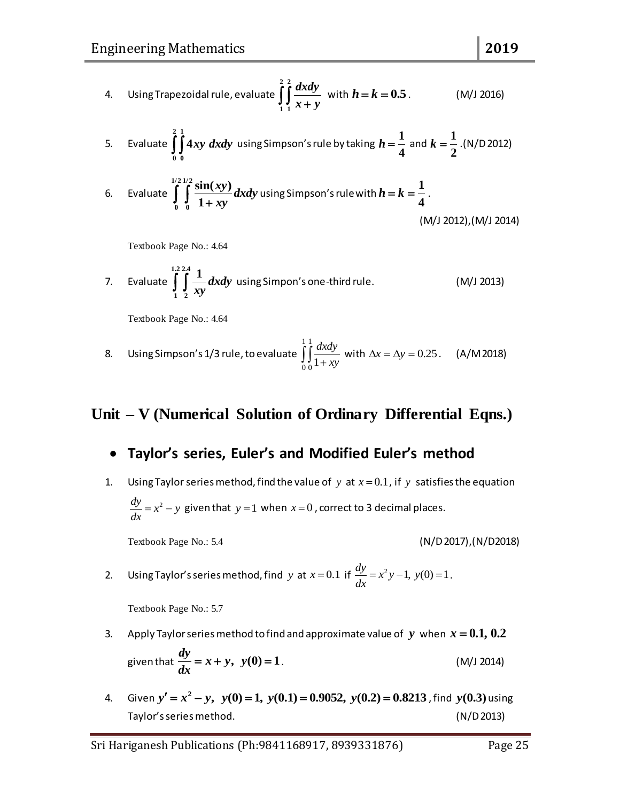4. Using Trapezoidal rule, evaluate 
$$
\int_{1}^{2} \int_{1}^{2} \frac{dx dy}{x+y}
$$
 with  $h = k = 0.5$ . (M/J 2016)

5. Evaluate 
$$
\int_{0}^{2} \int_{0}^{1} 4xy \, dxdy
$$
 using Simpson's rule by taking  $h = \frac{1}{4}$  and  $k = \frac{1}{2}$ .(N/D 2012)

6. Evaluate 
$$
\int_{0}^{1/2} \int_{0}^{1/2} \frac{\sin(xy)}{1+xy} dxdy
$$
 using Simpson's rule with  $h = k = \frac{1}{4}$ .  
(M/J 2012), (M/J 2014)

Textbook Page No.: 4.64

7. Evaluate 
$$
\int_{1}^{1.2} \int_{2}^{2.4} \frac{1}{xy} dx dy
$$
 using Simpon's one-third rule. (M/J 2013)

Textbook Page No.: 4.64

8. Using Simpson's 1/3 rule, to evaluate 
$$
\int_{0}^{1} \frac{dxdy}{1+xy}
$$
 with  $\Delta x = \Delta y = 0.25$ . (A/M 2018)

#### **Unit – V (Numerical Solution of Ordinary Differential Eqns.)**

#### **Taylor's series, Euler's and Modified Euler's method**

1. Using Taylor series method, find the value of  $y$  at  $x=0.1$ , if  $y$  satisfies the equation  $\frac{dy}{dx} = x^2 - y$ *dx*  $x = x^2 - y$  given that  $y = 1$  when  $x = 0$  , correct to 3 decimal places.

Textbook Page No.: 5.4 (N/D 2017),(N/D2018)

2. Using Taylor's series method, find y at  $x = 0.1$  if  $\frac{dy}{dx} = x^2y - 1$ ,  $y(0) = 1$  $= x^2 y - 1, y(0) = 1.$ 

- 3. Apply Taylor series method to find and approximate value of  $\ y\,$  when  $\ x=0.1,\,0.2$ given that  $\frac{dy}{dx} = x + y$ ,  $y(0) = 1$ *dx*  $= x + y, \ y(0) = 1.$  (M/J 2014)
- 4. Given  $y'=x^2$ *y'* =  $x^2 - y$ ,  $y(0) = 1$ ,  $y(0.1) = 0.9052$ ,  $y(0.2) = 0.8213$ , find  $y(0.3)$  using  $y' = x^2 - y$ ,  $y(0) = 1$ ,  $y(0.1) = 0.9052$ ,  $y(0.2) = 0.8213$ , find  $y(0.3)$  using Taylor's series method. (N/D 2013)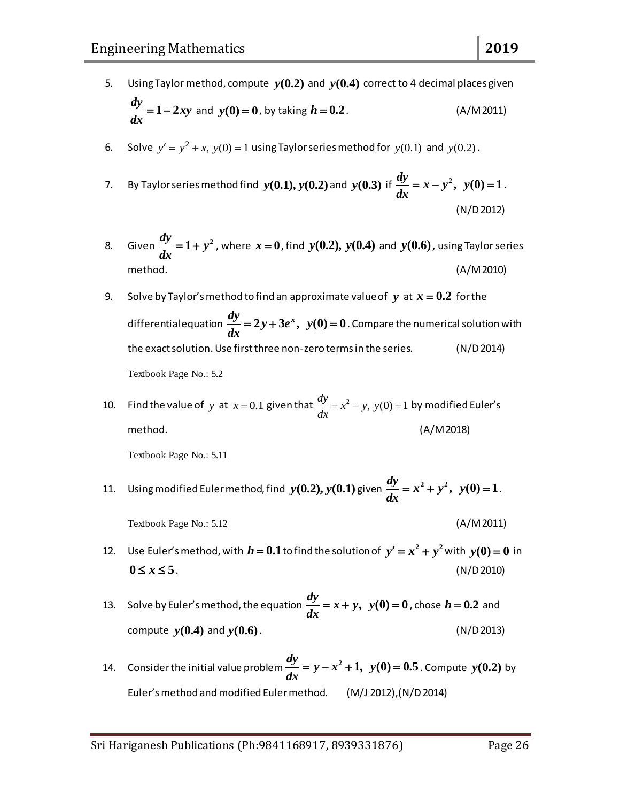- 5. Using Taylor method, compute  $y(0.2)$  and  $y(0.4)$  correct to 4 decimal places given  $\frac{dy}{dx} = 1 - 2xy$ *dx*  $= 1-2xy$  and  $y(0) = 0$ , by taking *h* **0.2**. (A/M 2011)
- 6. Solve  $y' = y^2 + x$ ,  $y(0) = 1$  using Taylor series method for  $y(0.1)$  and  $y(0.2)$ .
- 7. By Taylor series method find  $y(0.1), y(0.2)$  and  $y(0.3)$  if  $\frac{dy}{dx} = x y^2$ ,  $y(0) = 1$ *dx*  $= x - y^2$ ,  $y(0) = 1$ . (N/D 2012)
- 8. Given  $\frac{dy}{dx} = 1 + y^2$ *dx*  $x = 1 + y^2$  , where  $x = 0$  , find  $y(0.2)$ ,  $y(0.4)$  and  $y(0.6)$  , using Taylor series method. (A/M 2010)
- 9. Solve by Taylor's method to find an approximate value of  $y$  at  $x = 0.2$  for the differential equation  $\frac{dy}{dx} = 2y + 3e^x$ ,  $y(0) = 0$  . Compare the numerical solution with the exact solution. Use first three non-zero terms in the series. (N/D 2014) Textbook Page No.: 5.2
- 10. Find the value of y at  $x=0.1$  given that  $\frac{dy}{dx} = x^2 y$ ,  $y(0) = 1$ *dx*  $x^2 - y$ ,  $y(0) = 1$  by modified Euler's method. (A/M 2018)

- 11. Using modified Euler method, find  $y(0.2)$ ,  $y(0.1)$  given  $\frac{dy}{dx} = x^2 + y^2$ ,  $y(0) = 1$  $= x^2 + y^2$ ,  $y(0) = 1$ .
	- Textbook Page No.: 5.12 (A/M 2011)
- 12. Use Euler's method, with  $h = 0.1$  to find the solution of  $y' = x^2 + y^2$  with  $y(0) = 0$  in  $0 \le x \le 5$ . (N/D 2010)
- 13. Solve by Euler's method, the equation  $\frac{dy}{dx} = x + y$ ,  $y(0) = 0$ *dx*  $= x + y$ ,  $y(0) = 0$ , chose  $h = 0.2$  and compute *y***(0.4)** and *y***(0.6)**. (N/D 2013)
- 14. Consider the initial value problem  $\frac{dy}{dx} = y x^2 + 1$ ,  $y(0) = 0.5$  . Compute  $y(0.2)$  by Euler's method and modified Euler method. (M/J 2012),(N/D 2014)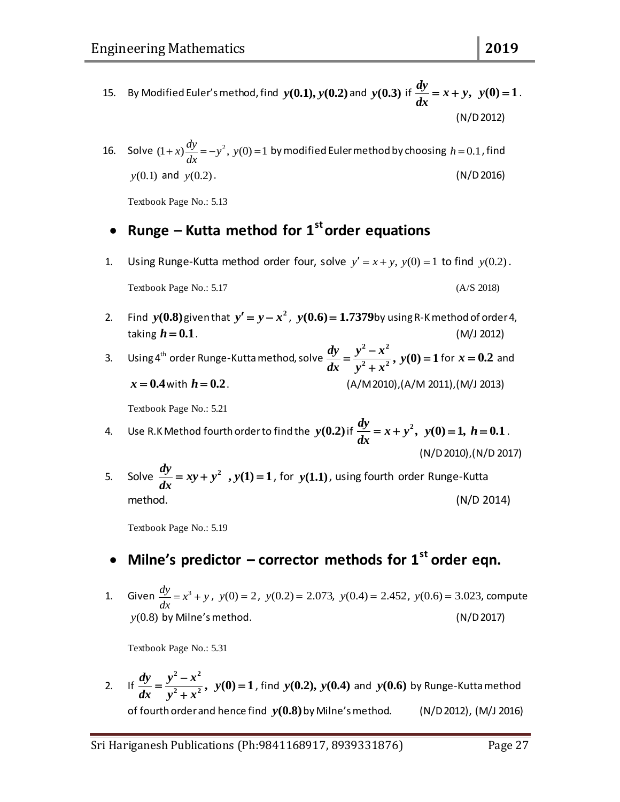- 15. By Modified Euler's method, find  $y(0.1), y(0.2)$  and  $y(0.3)$  if  $\frac{dy}{dx} = x + y$ ,  $y(0) = 1$ *dx*  $= x + y, y(0) = 1.$ (N/D 2012)
- 16. Solve  $(1+x)\frac{dy}{dx} = -y^2$ ,  $y(0) = 1$  by modified Euler method by choosing  $h = 0.1$ , find  $y(0.1)$  and *y*(0.2). (N/D2016)

Textbook Page No.: 5.13

### **Runge – Kutta method for 1storder equations**

1. Using Runge-Kutta method order four, solve  $y' = x + y$ ,  $y(0) = 1$  to find  $y(0.2)$ .

$$
Textbook Page No.: 5.17
$$
 (A/S 2018)

2. Find  $y(0.8)$  given that  $y' = y - x^2$ ,  $y(0.6) = 1.7379$  by using R-K method of order 4, taking  $h = 0.1$ . *h* **0.1**. (M/J 2012)

3. Using 4<sup>th</sup> order Runge-Kutta method, solve  $\frac{dy}{dx} = \frac{y^2 - x^2}{y^2 + x^2}$ ,  $y(0) = 1$  $f(x) = \frac{y^2 - x^2}{y^2 + x^2}$ ,  $y(0) = 1$  for  $x = 0.2$  and  $x = 0.4$  with *h* **0.2**. (A/M 2010),(A/M 2011),(M/J 2013)

Textbook Page No.: 5.21

4. Use R.K Method fourth order to find the  $y(0.2)$  if  $\frac{dy}{dx} = x + y^2$ , *dx*  $y = x + y^2$ ,  $y(0) = 1$ ,  $h = 0.1$ . (N/D 2010),(N/D 2017)

5. Solve  $\frac{dy}{dx} = xy + y^2$ ,  $y(1) = 1$  $= xy + y^2$ ,  $y(1) = 1$ , for  $y(1.1)$ , using fourth order Runge-Kutta method. (N/D 2014)

Textbook Page No.: 5.19

### **Milne's predictor – corrector methods for 1st order eqn.**

1. Given  $\frac{dy}{dx} = x^3 + y$ *dx*  $(x^3 + y, y(0)) = 2$ ,  $y(0.2) = 2.073$ ,  $y(0.4) = 2.452$ ,  $y(0.6) = 3.023$ , compute  $y(0.8)$  by Milne's method.  $(N/D 2017)$ 

Textbook Page No.: 5.31

2. If  $\frac{dy}{dx} = \frac{y^2 - x^2}{y^2 + x^2}, \ y(0) = 1$  $y = \frac{y^2 - x^2}{y^2 + x^2}$ ,  $y(0) = 1$ , find  $y(0.2)$ ,  $y(0.4)$  and  $y(0.6)$  by Runge-Kutta method of fourth order and hence find *y***(0.8)**  $(N/D 2012)$ ,  $(M/J 2016)$